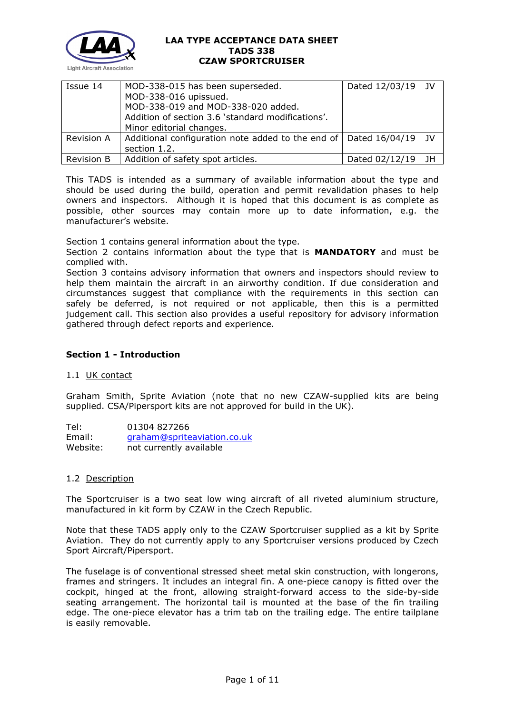

| Issue 14          | MOD-338-015 has been superseded.                                 | Dated 12/03/19   JV |      |
|-------------------|------------------------------------------------------------------|---------------------|------|
|                   | MOD-338-016 upissued.                                            |                     |      |
|                   | MOD-338-019 and MOD-338-020 added.                               |                     |      |
|                   | Addition of section 3.6 'standard modifications'.                |                     |      |
|                   | Minor editorial changes.                                         |                     |      |
| Revision A        | Additional configuration note added to the end of Dated 16/04/19 |                     | 1 IV |
|                   | section 1.2.                                                     |                     |      |
| <b>Revision B</b> | Addition of safety spot articles.                                | Dated 02/12/19      | - JH |

This TADS is intended as a summary of available information about the type and should be used during the build, operation and permit revalidation phases to help owners and inspectors. Although it is hoped that this document is as complete as possible, other sources may contain more up to date information, e.g. the manufacturer's website.

Section 1 contains general information about the type.

Section 2 contains information about the type that is **MANDATORY** and must be complied with.

Section 3 contains advisory information that owners and inspectors should review to help them maintain the aircraft in an airworthy condition. If due consideration and circumstances suggest that compliance with the requirements in this section can safely be deferred, is not required or not applicable, then this is a permitted judgement call. This section also provides a useful repository for advisory information gathered through defect reports and experience.

# **Section 1 - Introduction**

# 1.1 UK contact

Graham Smith, Sprite Aviation (note that no new CZAW-supplied kits are being supplied. CSA/Pipersport kits are not approved for build in the UK).

Tel: 01304 827266 Email: [graham@spriteaviation.co.uk](mailto:graham@spriteaviation.co.uk) Website: not currently available

# 1.2 Description

The Sportcruiser is a two seat low wing aircraft of all riveted aluminium structure, manufactured in kit form by CZAW in the Czech Republic.

Note that these TADS apply only to the CZAW Sportcruiser supplied as a kit by Sprite Aviation. They do not currently apply to any Sportcruiser versions produced by Czech Sport Aircraft/Pipersport.

The fuselage is of conventional stressed sheet metal skin construction, with longerons, frames and stringers. It includes an integral fin. A one-piece canopy is fitted over the cockpit, hinged at the front, allowing straight-forward access to the side-by-side seating arrangement. The horizontal tail is mounted at the base of the fin trailing edge. The one-piece elevator has a trim tab on the trailing edge. The entire tailplane is easily removable.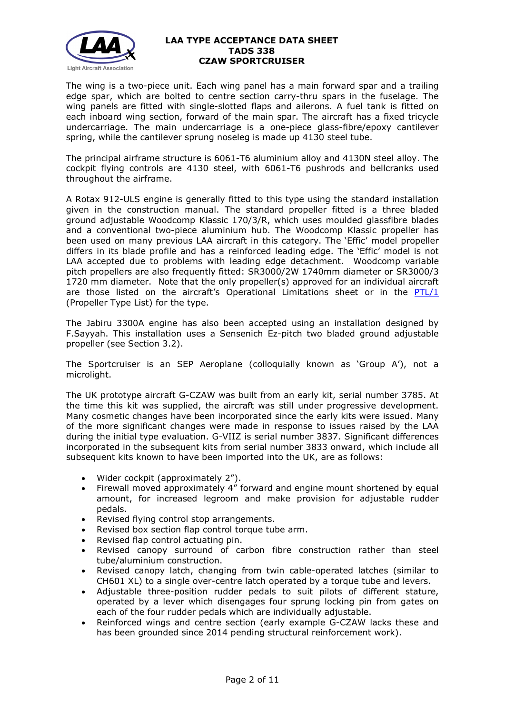

The wing is a two-piece unit. Each wing panel has a main forward spar and a trailing edge spar, which are bolted to centre section carry-thru spars in the fuselage. The wing panels are fitted with single-slotted flaps and ailerons. A fuel tank is fitted on each inboard wing section, forward of the main spar. The aircraft has a fixed tricycle undercarriage. The main undercarriage is a one-piece glass-fibre/epoxy cantilever spring, while the cantilever sprung noseleg is made up 4130 steel tube.

The principal airframe structure is 6061-T6 aluminium alloy and 4130N steel alloy. The cockpit flying controls are 4130 steel, with 6061-T6 pushrods and bellcranks used throughout the airframe.

A Rotax 912-ULS engine is generally fitted to this type using the standard installation given in the construction manual. The standard propeller fitted is a three bladed ground adjustable Woodcomp Klassic 170/3/R, which uses moulded glassfibre blades and a conventional two-piece aluminium hub. The Woodcomp Klassic propeller has been used on many previous LAA aircraft in this category. The 'Effic' model propeller differs in its blade profile and has a reinforced leading edge. The 'Effic' model is not LAA accepted due to problems with leading edge detachment. Woodcomp variable pitch propellers are also frequently fitted: SR3000/2W 1740mm diameter or SR3000/3 1720 mm diameter. Note that the only propeller(s) approved for an individual aircraft are those listed on the aircraft's Operational Limitations sheet or in the  $PTL/1$ (Propeller Type List) for the type.

The Jabiru 3300A engine has also been accepted using an installation designed by F.Sayyah. This installation uses a Sensenich Ez-pitch two bladed ground adjustable propeller (see Section 3.2).

The Sportcruiser is an SEP Aeroplane (colloquially known as 'Group A'), not a microlight.

The UK prototype aircraft G-CZAW was built from an early kit, serial number 3785. At the time this kit was supplied, the aircraft was still under progressive development. Many cosmetic changes have been incorporated since the early kits were issued. Many of the more significant changes were made in response to issues raised by the LAA during the initial type evaluation. G-VIIZ is serial number 3837. Significant differences incorporated in the subsequent kits from serial number 3833 onward, which include all subsequent kits known to have been imported into the UK, are as follows:

- Wider cockpit (approximately 2").
- Firewall moved approximately 4" forward and engine mount shortened by equal amount, for increased legroom and make provision for adjustable rudder pedals.
- Revised flying control stop arrangements.
- Revised box section flap control torque tube arm.
- Revised flap control actuating pin.
- Revised canopy surround of carbon fibre construction rather than steel tube/aluminium construction.
- Revised canopy latch, changing from twin cable-operated latches (similar to CH601 XL) to a single over-centre latch operated by a torque tube and levers.
- Adjustable three-position rudder pedals to suit pilots of different stature, operated by a lever which disengages four sprung locking pin from gates on each of the four rudder pedals which are individually adjustable.
- Reinforced wings and centre section (early example G-CZAW lacks these and has been grounded since 2014 pending structural reinforcement work).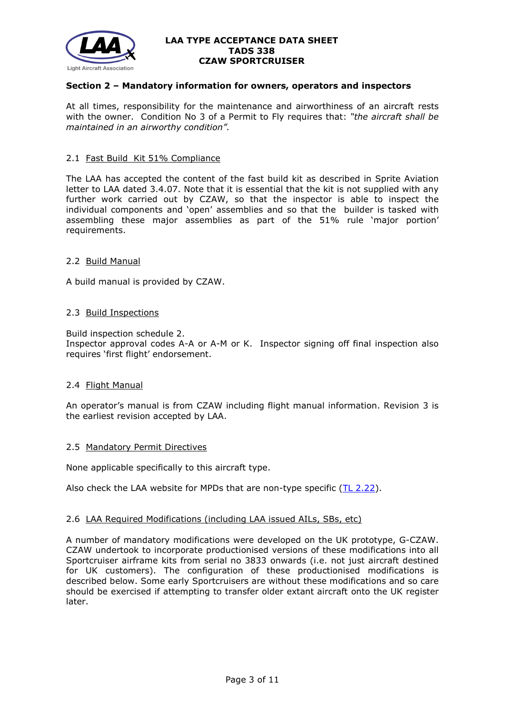

# **Section 2 – Mandatory information for owners, operators and inspectors**

At all times, responsibility for the maintenance and airworthiness of an aircraft rests with the owner. Condition No 3 of a Permit to Fly requires that: *"the aircraft shall be maintained in an airworthy condition".* 

# 2.1 Fast Build Kit 51% Compliance

The LAA has accepted the content of the fast build kit as described in Sprite Aviation letter to LAA dated 3.4.07. Note that it is essential that the kit is not supplied with any further work carried out by CZAW, so that the inspector is able to inspect the individual components and 'open' assemblies and so that the builder is tasked with assembling these major assemblies as part of the 51% rule 'major portion' requirements.

## 2.2 Build Manual

A build manual is provided by CZAW.

## 2.3 Build Inspections

Build inspection schedule 2. Inspector approval codes A-A or A-M or K. Inspector signing off final inspection also requires 'first flight' endorsement.

### 2.4 Flight Manual

An operator's manual is from CZAW including flight manual information. Revision 3 is the earliest revision accepted by LAA.

### 2.5 Mandatory Permit Directives

None applicable specifically to this aircraft type.

Also check the LAA website for MPDs that are non-type specific [\(TL 2.22\)](http://www.lightaircraftassociation.co.uk/engineering/TechnicalLeaflets/Operating%20An%20Aircraft/TL%202.22%20non-type%20specific%20MPDs.pdf).

# 2.6 LAA Required Modifications (including LAA issued AILs, SBs, etc)

A number of mandatory modifications were developed on the UK prototype, G-CZAW. CZAW undertook to incorporate productionised versions of these modifications into all Sportcruiser airframe kits from serial no 3833 onwards (i.e. not just aircraft destined for UK customers). The configuration of these productionised modifications is described below. Some early Sportcruisers are without these modifications and so care should be exercised if attempting to transfer older extant aircraft onto the UK register later.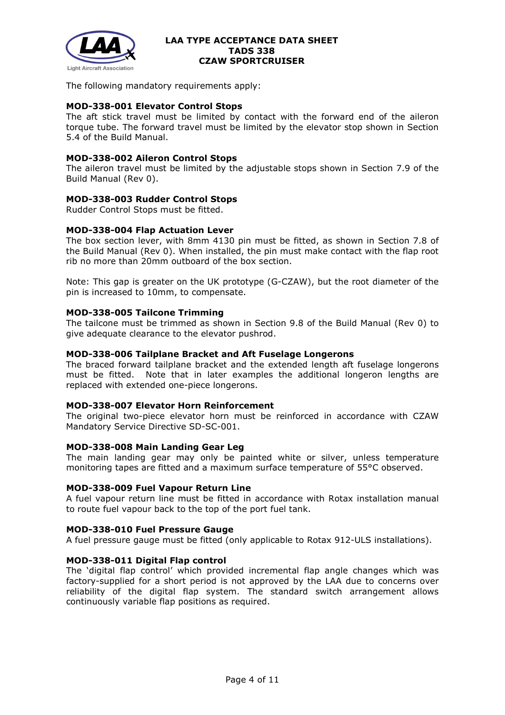

The following mandatory requirements apply:

# **MOD-338-001 Elevator Control Stops**

The aft stick travel must be limited by contact with the forward end of the aileron torque tube. The forward travel must be limited by the elevator stop shown in Section 5.4 of the Build Manual.

# **MOD-338-002 Aileron Control Stops**

The aileron travel must be limited by the adjustable stops shown in Section 7.9 of the Build Manual (Rev 0).

# **MOD-338-003 Rudder Control Stops**

Rudder Control Stops must be fitted.

# **MOD-338-004 Flap Actuation Lever**

The box section lever, with 8mm 4130 pin must be fitted, as shown in Section 7.8 of the Build Manual (Rev 0). When installed, the pin must make contact with the flap root rib no more than 20mm outboard of the box section.

Note: This gap is greater on the UK prototype (G-CZAW), but the root diameter of the pin is increased to 10mm, to compensate.

## **MOD-338-005 Tailcone Trimming**

The tailcone must be trimmed as shown in Section 9.8 of the Build Manual (Rev 0) to give adequate clearance to the elevator pushrod.

## **MOD-338-006 Tailplane Bracket and Aft Fuselage Longerons**

The braced forward tailplane bracket and the extended length aft fuselage longerons must be fitted. Note that in later examples the additional longeron lengths are replaced with extended one-piece longerons.

## **MOD-338-007 Elevator Horn Reinforcement**

The original two-piece elevator horn must be reinforced in accordance with CZAW Mandatory Service Directive SD-SC-001.

### **MOD-338-008 Main Landing Gear Leg**

The main landing gear may only be painted white or silver, unless temperature monitoring tapes are fitted and a maximum surface temperature of 55°C observed.

# **MOD-338-009 Fuel Vapour Return Line**

A fuel vapour return line must be fitted in accordance with Rotax installation manual to route fuel vapour back to the top of the port fuel tank.

### **MOD-338-010 Fuel Pressure Gauge**

A fuel pressure gauge must be fitted (only applicable to Rotax 912-ULS installations).

# **MOD-338-011 Digital Flap control**

The 'digital flap control' which provided incremental flap angle changes which was factory-supplied for a short period is not approved by the LAA due to concerns over reliability of the digital flap system. The standard switch arrangement allows continuously variable flap positions as required.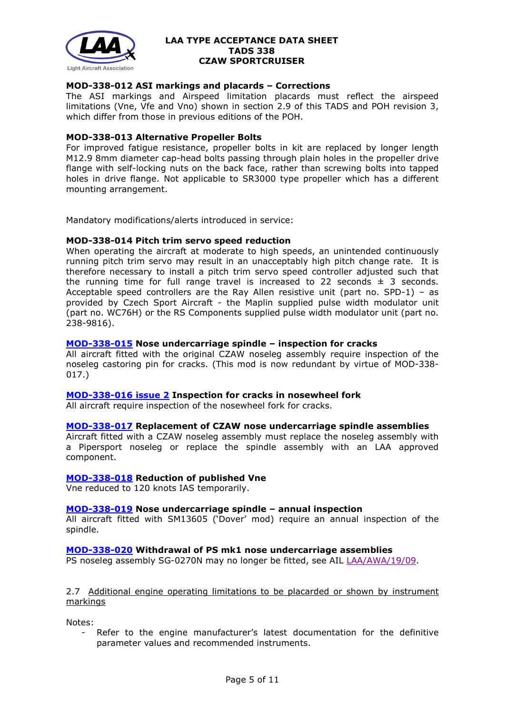

# **MOD-338-012 ASI markings and placards – Corrections**

The ASI markings and Airspeed limitation placards must reflect the airspeed limitations (Vne, Vfe and Vno) shown in section 2.9 of this TADS and POH revision 3, which differ from those in previous editions of the POH.

## **MOD-338-013 Alternative Propeller Bolts**

For improved fatigue resistance, propeller bolts in kit are replaced by longer length M12.9 8mm diameter cap-head bolts passing through plain holes in the propeller drive flange with self-locking nuts on the back face, rather than screwing bolts into tapped holes in drive flange. Not applicable to SR3000 type propeller which has a different mounting arrangement.

Mandatory modifications/alerts introduced in service:

## **MOD-338-014 Pitch trim servo speed reduction**

When operating the aircraft at moderate to high speeds, an unintended continuously running pitch trim servo may result in an unacceptably high pitch change rate. It is therefore necessary to install a pitch trim servo speed controller adjusted such that the running time for full range travel is increased to 22 seconds  $\pm$  3 seconds. Acceptable speed controllers are the Ray Allen resistive unit (part no. SPD-1) – as provided by Czech Sport Aircraft - the Maplin supplied pulse width modulator unit (part no. WC76H) or the RS Components supplied pulse width modulator unit (part no. 238-9816).

# **[MOD-338-015](http://www.lightaircraftassociation.co.uk/engineering/TADs/338/MOD%20338%20015%20issue%201.pdf) Nose undercarriage spindle – inspection for cracks**

All aircraft fitted with the original CZAW noseleg assembly require inspection of the noseleg castoring pin for cracks. (This mod is now redundant by virtue of MOD-338- 017.)

### **[MOD-338-016](http://www.lightaircraftassociation.co.uk/engineering/TADs/338/LAA%20MOD%20338%20016%20issue%202.pdf) issue 2 Inspection for cracks in nosewheel fork**

All aircraft require inspection of the nosewheel fork for cracks.

### **[MOD-338-017](http://www.lightaircraftassociation.co.uk/engineering/TADs/338/017.pdf) Replacement of CZAW nose undercarriage spindle assemblies**

Aircraft fitted with a CZAW noseleg assembly must replace the noseleg assembly with a Pipersport noseleg or replace the spindle assembly with an LAA approved component.

# **[MOD-338-018](http://www.lightaircraftassociation.co.uk/engineering/TADs/338/LAA%20MOD%20338%20018%20issue%201.pdf) Reduction of published Vne**

Vne reduced to 120 knots IAS temporarily.

### **[MOD-338-019](http://www.lightaircraftassociation.co.uk/engineering/TADs/338/LAA%20MOD%20338%20019%20issue%201.pdf) Nose undercarriage spindle – annual inspection**

All aircraft fitted with SM13605 ('Dover' mod) require an annual inspection of the spindle.

# **[MOD-338-020](http://www.lightaircraftassociation.co.uk/engineering/TADs/338/LAA%20MOD%20338%20020%20issue%201.pdf) Withdrawal of PS mk1 nose undercarriage assemblies**

PS noseleg assembly SG-0270N may no longer be fitted, see AIL [LAA/AWA/19/09.](http://www.lightaircraftassociation.co.uk/engineering/Noseleg%20Withdrawal.pdf)

2.7 Additional engine operating limitations to be placarded or shown by instrument markings

Notes:

Refer to the engine manufacturer's latest documentation for the definitive parameter values and recommended instruments.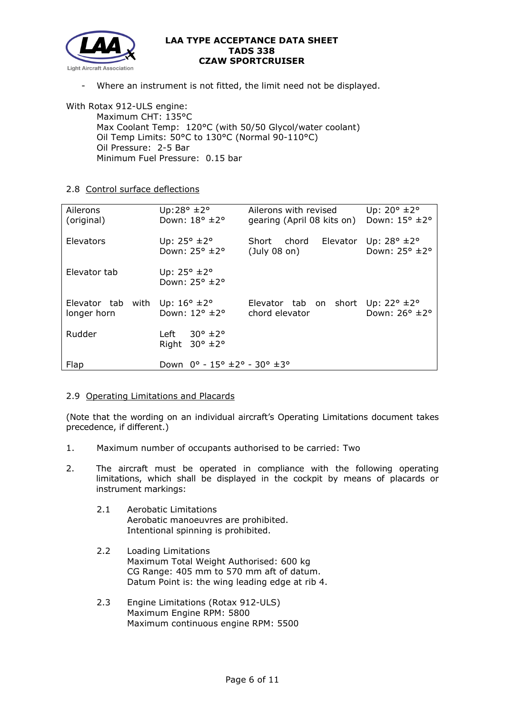

Where an instrument is not fitted, the limit need not be displayed.

With Rotax 912-ULS engine: Maximum CHT: 135°C Max Coolant Temp: 120°C (with 50/50 Glycol/water coolant) Oil Temp Limits: 50°C to 130°C (Normal 90-110°C) Oil Pressure: 2-5 Bar Minimum Fuel Pressure: 0.15 bar

# 2.8 Control surface deflections

| Ailerons<br>(original)           | Up:28 $\degree$ ±2 $\degree$<br>Down: 18° ±2°                             | Ailerons with revised<br>gearing (April 08 kits on)                      | Up: $20^{\circ}$ ± $2^{\circ}$<br>Down: 15° ±2°   |
|----------------------------------|---------------------------------------------------------------------------|--------------------------------------------------------------------------|---------------------------------------------------|
| Elevators                        | Up: $25^{\circ}$ ±2°<br>Down: $25^\circ \pm 2^\circ$                      | Short<br>chord<br>Elevator<br>$($ July 08 on $)$                         | Up: $28^{\circ}$ $\pm 2^{\circ}$<br>Down: 25° ±2° |
| Elevator tab                     | Up: $25^{\circ}$ $\pm 2^{\circ}$<br>Down: $25^\circ \pm 2^\circ$          |                                                                          |                                                   |
| Elevator tab with<br>longer horn | Up: $16^{\circ}$ ±2°<br>Down: $12^{\circ}$ $\pm 2^{\circ}$                | Elevator tab on short Up: $22^{\circ}$ $\pm 2^{\circ}$<br>chord elevator | Down: 26° ±2°                                     |
| Rudder                           | $30^{\circ}$ ±2 $^{\circ}$<br>Left<br>$30^{\circ}$ ±2 $^{\circ}$<br>Right |                                                                          |                                                   |
| Flap                             | Down $0^{\circ}$ - 15° $\pm$ 2° - 30° $\pm$ 3°                            |                                                                          |                                                   |

# 2.9 Operating Limitations and Placards

(Note that the wording on an individual aircraft's Operating Limitations document takes precedence, if different.)

- 1. Maximum number of occupants authorised to be carried: Two
- 2. The aircraft must be operated in compliance with the following operating limitations, which shall be displayed in the cockpit by means of placards or instrument markings:
	- 2.1 Aerobatic Limitations Aerobatic manoeuvres are prohibited. Intentional spinning is prohibited.
	- 2.2 Loading Limitations Maximum Total Weight Authorised: 600 kg CG Range: 405 mm to 570 mm aft of datum. Datum Point is: the wing leading edge at rib 4.
	- 2.3 Engine Limitations (Rotax 912-ULS) Maximum Engine RPM: 5800 Maximum continuous engine RPM: 5500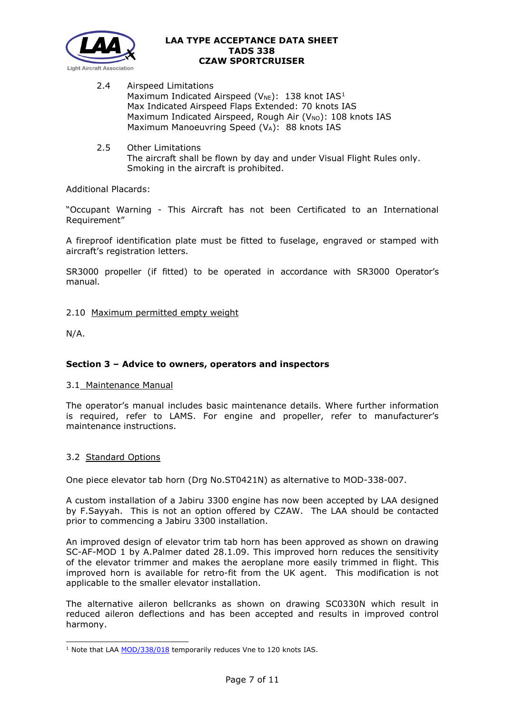

- 2.4 Airspeed Limitations Maximum Indicated Airspeed ( $V_{NE}$ ): [1](#page-6-0)38 knot IAS<sup>1</sup> Max Indicated Airspeed Flaps Extended: 70 knots IAS Maximum Indicated Airspeed, Rough Air ( $V_{NO}$ ): 108 knots IAS Maximum Manoeuvring Speed (VA): 88 knots IAS
- 2.5 Other Limitations The aircraft shall be flown by day and under Visual Flight Rules only. Smoking in the aircraft is prohibited.

# Additional Placards:

"Occupant Warning - This Aircraft has not been Certificated to an International Requirement"

A fireproof identification plate must be fitted to fuselage, engraved or stamped with aircraft's registration letters.

SR3000 propeller (if fitted) to be operated in accordance with SR3000 Operator's manual.

# 2.10 Maximum permitted empty weight

N/A.

# **Section 3 – Advice to owners, operators and inspectors**

# 3.1 Maintenance Manual

The operator's manual includes basic maintenance details. Where further information is required, refer to LAMS. For engine and propeller, refer to manufacturer's maintenance instructions.

# 3.2 Standard Options

One piece elevator tab horn (Drg No.ST0421N) as alternative to MOD-338-007.

A custom installation of a Jabiru 3300 engine has now been accepted by LAA designed by F.Sayyah. This is not an option offered by CZAW. The LAA should be contacted prior to commencing a Jabiru 3300 installation.

An improved design of elevator trim tab horn has been approved as shown on drawing SC-AF-MOD 1 by A.Palmer dated 28.1.09. This improved horn reduces the sensitivity of the elevator trimmer and makes the aeroplane more easily trimmed in flight. This improved horn is available for retro-fit from the UK agent. This modification is not applicable to the smaller elevator installation.

The alternative aileron bellcranks as shown on drawing SC0330N which result in reduced aileron deflections and has been accepted and results in improved control harmony.

<span id="page-6-0"></span><sup>&</sup>lt;sup>1</sup> Note that LAA [MOD/338/018](http://www.lightaircraftassociation.co.uk/engineering/TADs/338/LAA%20MOD%20338%20018%20issue%201.pdf) temporarily reduces Vne to 120 knots IAS.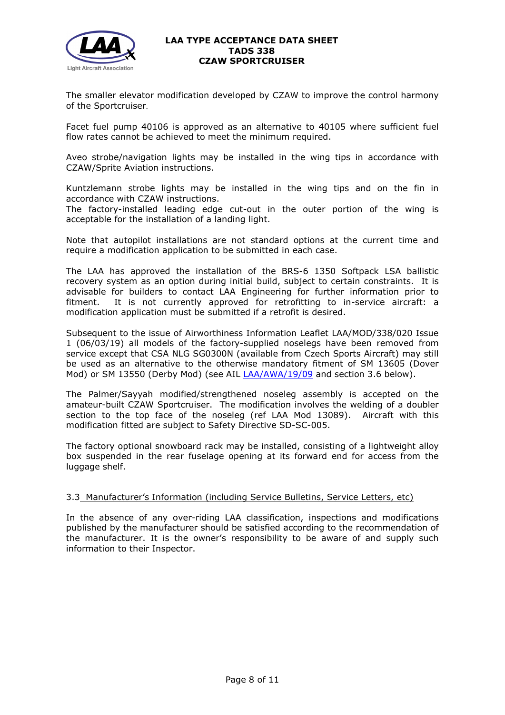

The smaller elevator modification developed by CZAW to improve the control harmony of the Sportcruiser.

Facet fuel pump 40106 is approved as an alternative to 40105 where sufficient fuel flow rates cannot be achieved to meet the minimum required.

Aveo strobe/navigation lights may be installed in the wing tips in accordance with CZAW/Sprite Aviation instructions.

Kuntzlemann strobe lights may be installed in the wing tips and on the fin in accordance with CZAW instructions.

The factory-installed leading edge cut-out in the outer portion of the wing is acceptable for the installation of a landing light.

Note that autopilot installations are not standard options at the current time and require a modification application to be submitted in each case.

The LAA has approved the installation of the BRS-6 1350 Softpack LSA ballistic recovery system as an option during initial build, subject to certain constraints. It is advisable for builders to contact LAA Engineering for further information prior to fitment. It is not currently approved for retrofitting to in-service aircraft: a modification application must be submitted if a retrofit is desired.

Subsequent to the issue of Airworthiness Information Leaflet LAA/MOD/338/020 Issue 1 (06/03/19) all models of the factory-supplied noselegs have been removed from service except that CSA NLG SG0300N (available from Czech Sports Aircraft) may still be used as an alternative to the otherwise mandatory fitment of SM 13605 (Dover Mod) or SM 13550 (Derby Mod) (see AIL [LAA/AWA/19/09](http://www.lightaircraftassociation.co.uk/engineering/Noseleg%20Withdrawal.pdf) and section 3.6 below).

The Palmer/Sayyah modified/strengthened noseleg assembly is accepted on the amateur-built CZAW Sportcruiser. The modification involves the welding of a doubler section to the top face of the noseleg (ref LAA Mod 13089). Aircraft with this modification fitted are subject to Safety Directive SD-SC-005.

The factory optional snowboard rack may be installed, consisting of a lightweight alloy box suspended in the rear fuselage opening at its forward end for access from the luggage shelf.

# 3.3 Manufacturer's Information (including Service Bulletins, Service Letters, etc)

In the absence of any over-riding LAA classification, inspections and modifications published by the manufacturer should be satisfied according to the recommendation of the manufacturer. It is the owner's responsibility to be aware of and supply such information to their Inspector.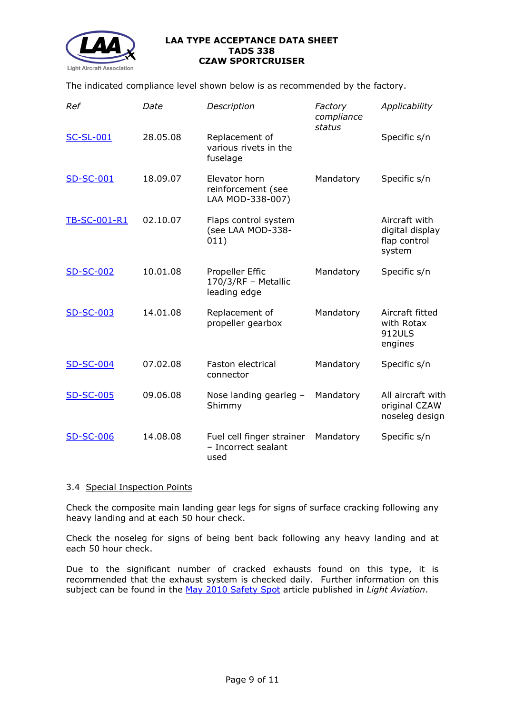

The indicated compliance level shown below is as recommended by the factory.

| Ref              | Date     | Description                                              | Factory<br>compliance<br>status | Applicability                                              |
|------------------|----------|----------------------------------------------------------|---------------------------------|------------------------------------------------------------|
| <b>SC-SL-001</b> | 28.05.08 | Replacement of<br>various rivets in the<br>fuselage      |                                 | Specific s/n                                               |
| <b>SD-SC-001</b> | 18.09.07 | Elevator horn<br>reinforcement (see<br>LAA MOD-338-007)  | Mandatory                       | Specific s/n                                               |
| TB-SC-001-R1     | 02.10.07 | Flaps control system<br>(see LAA MOD-338-<br>011)        |                                 | Aircraft with<br>digital display<br>flap control<br>system |
| <b>SD-SC-002</b> | 10.01.08 | Propeller Effic<br>170/3/RF - Metallic<br>leading edge   | Mandatory                       | Specific s/n                                               |
| <b>SD-SC-003</b> | 14.01.08 | Replacement of<br>propeller gearbox                      | Mandatory                       | Aircraft fitted<br>with Rotax<br><b>912ULS</b><br>engines  |
| <b>SD-SC-004</b> | 07.02.08 | <b>Faston electrical</b><br>connector                    | Mandatory                       | Specific s/n                                               |
| <b>SD-SC-005</b> | 09.06.08 | Nose landing gearleg -<br>Shimmy                         | Mandatory                       | All aircraft with<br>original CZAW<br>noseleg design       |
| <b>SD-SC-006</b> | 14.08.08 | Fuel cell finger strainer<br>- Incorrect sealant<br>used | Mandatory                       | Specific s/n                                               |

# 3.4 Special Inspection Points

Check the composite main landing gear legs for signs of surface cracking following any heavy landing and at each 50 hour check.

Check the noseleg for signs of being bent back following any heavy landing and at each 50 hour check.

Due to the significant number of cracked exhausts found on this type, it is recommended that the exhaust system is checked daily. Further information on this subject can be found in the [May 2010 Safety Spot](http://www.lightaircraftassociation.co.uk/engineering/TADs/../338/Safety_Spot_May.pdf) article published in *Light Aviation*.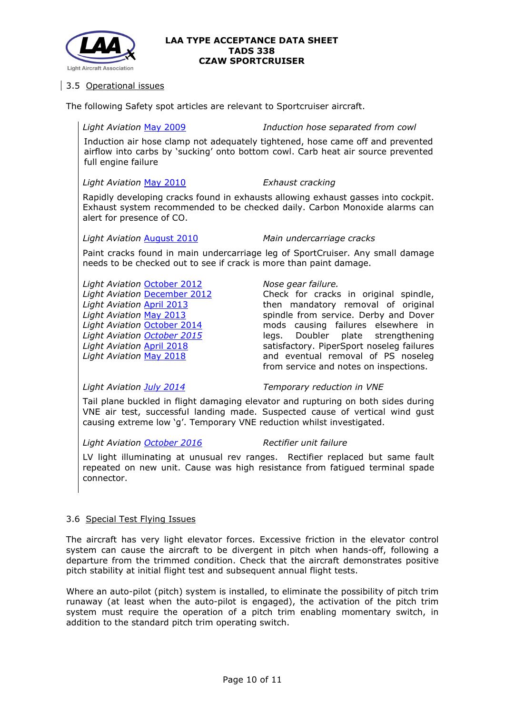

# 3.5 Operational issues

The following Safety spot articles are relevant to Sportcruiser aircraft.

# *Light Aviation* [May 2009](http://www.lightaircraftassociation.co.uk/engineering/SafetyIssues/SafetySpotMay09.pdf) *Induction hose separated from cowl*

Induction air hose clamp not adequately tightened, hose came off and prevented airflow into carbs by 'sucking' onto bottom cowl. Carb heat air source prevented full engine failure

# *Light Aviation* [May 2010](http://www.lightaircraftassociation.co.uk/2010/Magazine/2010/May/Safety_Spot_May.pdf) *Exhaust cracking*

Rapidly developing cracks found in exhausts allowing exhaust gasses into cockpit. Exhaust system recommended to be checked daily. Carbon Monoxide alarms can alert for presence of CO.

# *Light Aviation* [August 2010](http://www.lightaircraftassociation.co.uk/2010/Magazine/2010/Aug/Safety%20Spot%20Aug%2010.pdf) *Main undercarriage cracks*

Paint cracks found in main undercarriage leg of SportCruiser. Any small damage needs to be checked out to see if crack is more than paint damage.

*Light Aviation* [October](http://www.lightaircraftassociation.co.uk/2012/Magazine/October/safety%20spot.pdf) 2012 *Light Aviation* [December 2012](http://www.lightaircraftassociation.co.uk/2012/Magazine/December/safety_spot_dec.pdf) *Light Aviation* April [2013](http://www.lightaircraftassociation.co.uk/2013/Magazine/April/safety%20spot.pdf) *Light Aviation* [May 2013](http://www.lightaircraftassociation.co.uk/2013/Magazine/May/safetyspot_may.pdf) *Light Aviation* [October](http://www.lightaircraftassociation.co.uk/2014/Mag/Oct/safety_spot.pdf) 2014 *Light Aviation [October 2015](http://www.lightaircraftassociation.co.uk/2015/Magazine/Oct/safety_spot.pdf) Light Aviation* April [2018](http://www.lightaircraftassociation.co.uk/2018/Magazine/Apr/safety_spot.pdf) *Light Aviation* [May 2018](http://www.lightaircraftassociation.co.uk/2018/Magazine/May/Safety%20Spot.pdf)

# *Nose gear failure.*

Check for cracks in original spindle, then mandatory removal of original spindle from service. Derby and Dover mods causing failures elsewhere in legs. Doubler plate strengthening<br>satisfactory PinerSport poseled failures satisfactory. PiperSport noseleg failures and eventual removal of PS noseleg from service and notes on inspections.

# *Light Aviation [July 2014](http://www.lightaircraftassociation.co.uk/2014/Mag/July/safety%20spot.pdf) Temporary reduction in VNE*

Tail plane buckled in flight damaging elevator and rupturing on both sides during VNE air test, successful landing made. Suspected cause of vertical wind gust causing extreme low 'g'. Temporary VNE reduction whilst investigated.

*Light Aviation [October 2016](http://www.lightaircraftassociation.co.uk/2016/Magazine/Oct/safety_spot.pdf) Rectifier unit failure*

LV light illuminating at unusual rev ranges. Rectifier replaced but same fault repeated on new unit. Cause was high resistance from fatigued terminal spade connector.

# 3.6 Special Test Flying Issues

The aircraft has very light elevator forces. Excessive friction in the elevator control system can cause the aircraft to be divergent in pitch when hands-off, following a departure from the trimmed condition. Check that the aircraft demonstrates positive pitch stability at initial flight test and subsequent annual flight tests.

Where an auto-pilot (pitch) system is installed, to eliminate the possibility of pitch trim runaway (at least when the auto-pilot is engaged), the activation of the pitch trim system must require the operation of a pitch trim enabling momentary switch, in addition to the standard pitch trim operating switch.